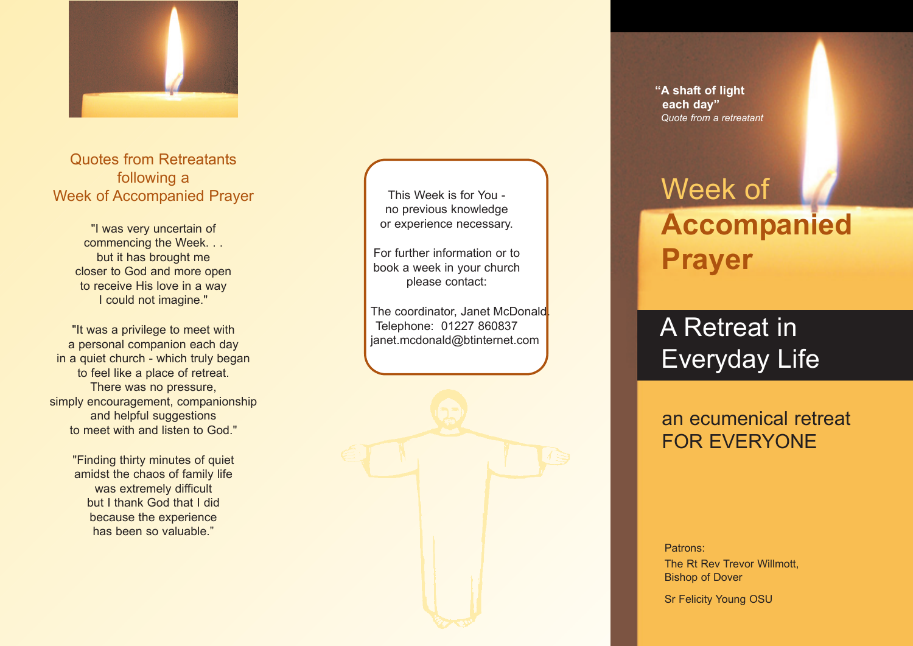

Quotes from Retreatants following a Week of Accompanied Prayer

> "I was very uncertain of commencing the Week. . . but it has brought me closer to God and more open to receive His love in a way I could not imagine."

"It was a privilege to meet with a personal companion each day in a quiet church - which truly began to feel like a place of retreat. There was no pressure, simply encouragement, companionship and helpful suggestions to meet with and listen to God."

> "Finding thirty minutes of quiet amidst the chaos of family life was extremely difficult but I thank God that I did because the experience has been so valuable."

This Week is for You no previous knowledge or experience necessary.

For further information or to book a week in your church please contact:

The coordinator, Janet McDonald<mark>.</mark> Telephone: 01227 860837 janet.mcdonald@btinternet.com



**"A shaft of light each day"** *Quote from a retreatant*

# Week of **Accompanied Prayer**

A Retreat in Everyday Life

## an ecumenical retreat FOR EVERYONE

Patrons: The Rt Rev Trevor Willmott, Bishop of Dover

Sr Felicity Young OSU